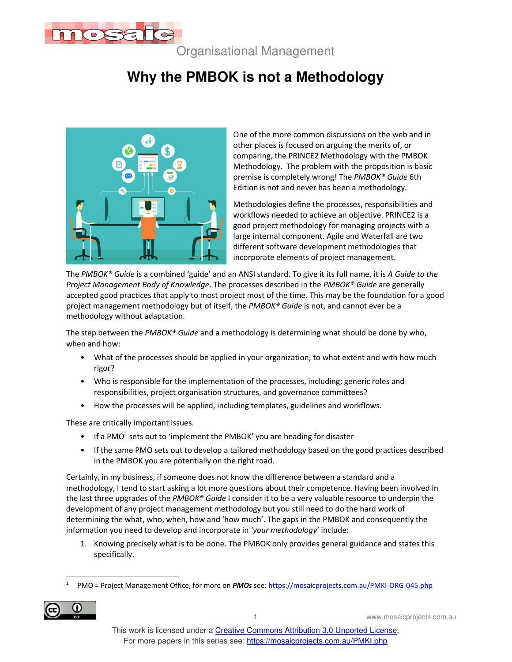

Organisational Management

## **Why the PMBOK is not a Methodology**



One of the more common discussions on the web and in other places is focused on arguing the merits of, or comparing, the PRINCE2 Methodology with the PMBOK Methodology. The problem with the proposition is basic premise is completely wrong! The *PMBOK® Guide* 6th Edition is not and never has been a methodology.

Methodologies define the processes, responsibilities and workflows needed to achieve an objective. PRINCE2 is a good project methodology for managing projects with a large internal component. Agile and Waterfall are two different software development methodologies that incorporate elements of project management.

The *PMBOK® Guide* is a combined 'guide' and an ANSI standard. To give it its full name, it is *A Guide to the Project Management Body of Knowledge*. The processes described in the *PMBOK® Guide* are generally accepted good practices that apply to most project most of the time. This may be the foundation for a good project management methodology but of itself, the *PMBOK® Guide* is not, and cannot ever be a methodology without adaptation.

The step between the *PMBOK® Guide* and a methodology is determining what should be done by who, when and how:

- What of the processes should be applied in your organization, to what extent and with how much rigor?
- Who is responsible for the implementation of the processes, including; generic roles and responsibilities, project organisation structures, and governance committees?
- How the processes will be applied, including templates, guidelines and workflows.

These are critically important issues.

- $\bullet$  If a PMO<sup>1</sup> sets out to 'implement the PMBOK' you are heading for disaster
- If the same PMO sets out to develop a tailored methodology based on the good practices described in the PMBOK you are potentially on the right road.

Certainly, in my business, if someone does not know the difference between a standard and a methodology, I tend to start asking a lot more questions about their competence. Having been involved in the last three upgrades of the *PMBOK® Guide* I consider it to be a very valuable resource to underpin the development of any project management methodology but you still need to do the hard work of determining the what, who, when, how and 'how much'. The gaps in the PMBOK and consequently the information you need to develop and incorporate in *'your methodology'* include:

1. Knowing precisely what is to be done. The PMBOK only provides general guidance and states this specifically.

 $\overline{1}$ 1 PMO = Project Management Office, for more on *PMOs* see: https://mosaicprojects.com.au/PMKI-ORG-045.php

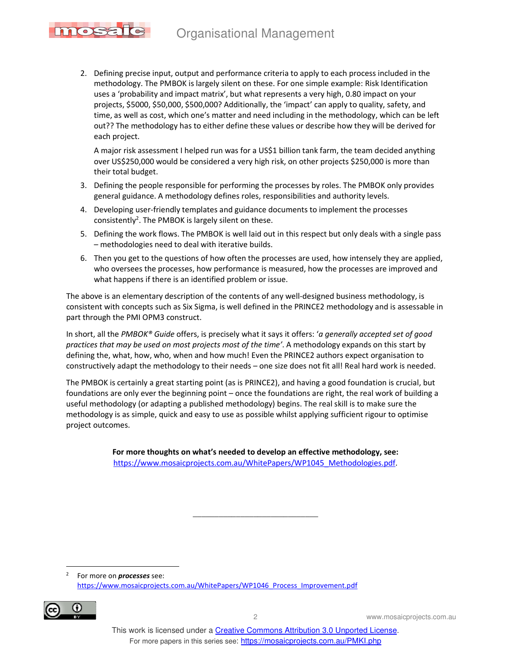## Organisational Management



2. Defining precise input, output and performance criteria to apply to each process included in the methodology. The PMBOK is largely silent on these. For one simple example: Risk Identification uses a 'probability and impact matrix', but what represents a very high, 0.80 impact on your projects, \$5000, \$50,000, \$500,000? Additionally, the 'impact' can apply to quality, safety, and time, as well as cost, which one's matter and need including in the methodology, which can be left out?? The methodology has to either define these values or describe how they will be derived for each project.

A major risk assessment I helped run was for a US\$1 billion tank farm, the team decided anything over US\$250,000 would be considered a very high risk, on other projects \$250,000 is more than their total budget.

- 3. Defining the people responsible for performing the processes by roles. The PMBOK only provides general guidance. A methodology defines roles, responsibilities and authority levels.
- 4. Developing user-friendly templates and guidance documents to implement the processes consistently<sup>2</sup>. The PMBOK is largely silent on these.
- 5. Defining the work flows. The PMBOK is well laid out in this respect but only deals with a single pass – methodologies need to deal with iterative builds.
- 6. Then you get to the questions of how often the processes are used, how intensely they are applied, who oversees the processes, how performance is measured, how the processes are improved and what happens if there is an identified problem or issue.

The above is an elementary description of the contents of any well-designed business methodology, is consistent with concepts such as Six Sigma, is well defined in the PRINCE2 methodology and is assessable in part through the PMI OPM3 construct.

In short, all the *PMBOK® Guide* offers, is precisely what it says it offers: '*a generally accepted set of good practices that may be used on most projects most of the time'*. A methodology expands on this start by defining the, what, how, who, when and how much! Even the PRINCE2 authors expect organisation to constructively adapt the methodology to their needs – one size does not fit all! Real hard work is needed.

The PMBOK is certainly a great starting point (as is PRINCE2), and having a good foundation is crucial, but foundations are only ever the beginning point – once the foundations are right, the real work of building a useful methodology (or adapting a published methodology) begins. The real skill is to make sure the methodology is as simple, quick and easy to use as possible whilst applying sufficient rigour to optimise project outcomes.

> **For more thoughts on what's needed to develop an effective methodology, see:**  https://www.mosaicprojects.com.au/WhitePapers/WP1045\_Methodologies.pdf.

> > $\overline{\phantom{a}}$

 2 For more on *processes* see: https://www.mosaicprojects.com.au/WhitePapers/WP1046\_Process\_Improvement.pdf



2 www.mosaicprojects.com.au